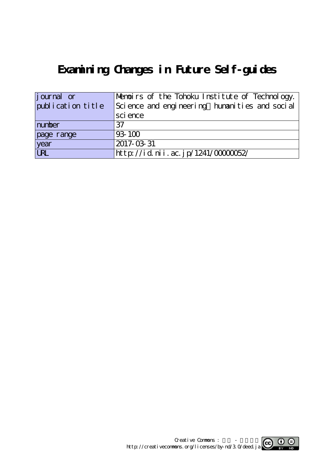# **Examining Changes in Future Self-guides**

| journal or        | Memoirs of the Tohoku Institute of Technology. |
|-------------------|------------------------------------------------|
| publication title | Science and engineering humanities and social  |
|                   | sci ence                                       |
| number            | 37                                             |
| page range        | 93-100                                         |
| year              | 2017-03-31                                     |
| URL               | http://id.nii.ac.jp/1241/0000052/              |

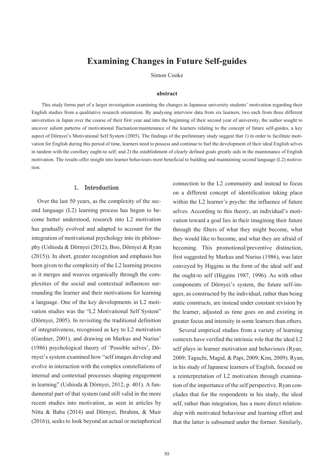# **Examining Changes in Future Self-guides**

Simon Cooke

#### **abstract**

 This study forms part of a larger investigation examining the changes in Japanese university students' motivation regarding their English studies from a qualitative research orientation. By analysing interview data from six learners, two each from three different universities in Japan over the course of their first year and into the beginning of their second year of university, the author sought to uncover salient patterns of motivational fluctuation/maintenance of the learners relating to the concept of future self-guides, a key aspect of Dörnyei's Motivational Self System (2005). The findings of the preliminary study suggest that 1) in order to facilitate motivation for English during this period of time, learners need to possess and continue to fuel the development of their ideal English selves in tandem with the corollary ought-to self; and 2) the establishment of clearly defined goals greatly aids in the maintenance of English motivation. The results offer insight into learner behaviours most beneficial to building and maintaining second language (L2) motivation.

#### 1. Introduction

Over the last 50 years, as the complexity of the second language (L2) learning process has begun to become better understood, research into L2 motivation has gradually evolved and adapted to account for the integration of motivational psychology into its philosophy (Ushioda & Dörnyei (2012); Boo, Dörnyei & Ryan (2015)). In short, greater recognition and emphasis has been given to the complexity of the L2 learning process as it merges and weaves organically through the complexities of the social and contextual influences surrounding the learner and their motivations for learning a language. One of the key developments in L2 motivation studies was the "L2 Motivational Self System" (Dörnyei, 2005). In revisiting the traditional definition of integrativeness, recognised as key to L2 motivation (Gardner, 2001), and drawing on Markus and Nurius' (1986) psychological theory of 'Possible selves', Dörnyei's system examined how "self images develop and evolve in interaction with the complex constellations of internal and contextual processes shaping engagement in learning" (Ushioda & Dörnyei, 2012, p. 401). A fundamental part of that system (and still valid in the more recent studies into motivation, as seen in articles by Nitta & Baba (2014) and Dörnyei, Ibrahim, & Muir (2016)), seeks to look beyond an actual or metaphorical

connection to the L2 community and instead to focus on a different concept of identification taking place within the L2 learner's psyche: the influence of future selves. According to this theory, an individual's motivation toward a goal lies in their imagining their future through the filters of what they might become, what they would like to become, and what they are afraid of becoming. This promotional/preventive distinction, first suggested by Markus and Nurius (1986), was later conveyed by Higgins in the form of the ideal self and the ought-to self (Higgins 1987, 1996). As with other components of Dörnyei's system, the future self-images, as constructed by the individual, rather than being static constructs, are instead under constant revision by the learner, adjusted as time goes on and existing in greater focus and intensity in some learners than others.

Several empirical studies from a variety of learning contexts have verified the intrinsic role that the ideal L2 self plays in learner motivation and behaviours (Ryan, 2009; Taguchi, Magid, & Papi, 2009; Kim, 2009). Ryan, in his study of Japanese learners of English, focused on a reinterpretation of L2 motivation through examination of the importance of the self perspective. Ryan concludes that for the respondents in his study, the ideal self, rather than integration, has a more direct relationship with motivated behaviour and learning effort and that the latter is subsumed under the former. Similarly,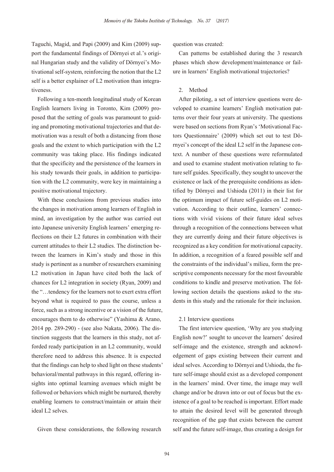Taguchi, Magid, and Papi (2009) and Kim (2009) support the fundamental findings of Dörnyei et al.'s original Hungarian study and the validity of Dörnyei's Motivational self-system, reinforcing the notion that the L2 self is a better explainer of L2 motivation than integrativeness.

Following a ten-month longitudinal study of Korean English learners living in Toronto, Kim (2009) proposed that the setting of goals was paramount to guiding and promoting motivational trajectories and that demotivation was a result of both a distancing from those goals and the extent to which participation with the L2 community was taking place. His findings indicated that the specificity and the persistence of the learners in his study towards their goals, in addition to participation with the L2 community, were key in maintaining a positive motivational trajectory.

With these conclusions from previous studies into the changes in motivation among learners of English in mind, an investigation by the author was carried out into Japanese university English learners' emerging reflections on their L2 futures in combination with their current attitudes to their L2 studies. The distinction between the learners in Kim's study and those in this study is pertinent as a number of researchers examining L2 motivation in Japan have cited both the lack of chances for L2 integration in society (Ryan, 2009) and the "…tendency for the learners not to exert extra effort beyond what is required to pass the course, unless a force, such as a strong incentive or a vision of the future, encourages them to do otherwise" (Yashima & Arano, 2014 pp. 289-290) - (see also Nakata, 2006). The distinction suggests that the learners in this study, not afforded ready participation in an L2 community, would therefore need to address this absence. It is expected that the findings can help to shed light on these students' behavioral/mental pathways in this regard, offering insights into optimal learning avenues which might be followed or behaviors which might be nurtured, thereby enabling learners to construct/maintain or attain their ideal L2 selves.

Given these considerations, the following research

question was created:

Can patterns be established during the 3 research phases which show development/maintenance or failure in learners' English motivational trajectories?

## 2. Method

After piloting, a set of interview questions were developed to examine learners' English motivation patterns over their four years at university. The questions were based on sections from Ryan's 'Motivational Factors Questionnaire' (2009) which set out to test Dörnyei's concept of the ideal L2 self in the Japanese context. A number of these questions were reformulated and used to examine student motivation relating to future self guides. Specifically, they sought to uncover the existence or lack of the prerequisite conditions as identified by Dörnyei and Ushioda (2011) in their list for the optimum impact of future self-guides on L2 motivation. According to their outline, learners' connections with vivid visions of their future ideal selves through a recognition of the connections between what they are currently doing and their future objectives is recognized as a key condition for motivational capacity. In addition, a recognition of a feared possible self and the constraints of the individual's milieu, form the prescriptive components necessary for the most favourable conditions to kindle and preserve motivation. The following section details the questions asked to the students in this study and the rationale for their inclusion.

#### 2.1 Interview questions

The first interview question, 'Why are you studying English now?' sought to uncover the learners' desired self-image and the existence, strength and acknowledgement of gaps existing between their current and ideal selves. According to Dörnyei and Ushioda, the future self-image should exist as a developed component in the learners' mind. Over time, the image may well change and/or be drawn into or out of focus but the existence of a goal to be reached is important. Effort made to attain the desired level will be generated through recognition of the gap that exists between the current self and the future self-image, thus creating a design for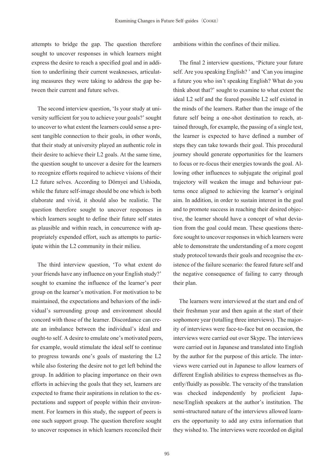attempts to bridge the gap. The question therefore sought to uncover responses in which learners might express the desire to reach a specified goal and in addition to underlining their current weaknesses, articulating measures they were taking to address the gap between their current and future selves.

The second interview question, 'Is your study at university sufficient for you to achieve your goals?' sought to uncover to what extent the learners could sense a present tangible connection to their goals, in other words, that their study at university played an authentic role in their desire to achieve their L2 goals. At the same time, the question sought to uncover a desire for the learners to recognize efforts required to achieve visions of their L2 future selves. According to Dörnyei and Ushioda, while the future self-image should be one which is both elaborate and vivid, it should also be realistic. The question therefore sought to uncover responses in which learners sought to define their future self states as plausible and within reach, in concurrence with appropriately expended effort, such as attempts to participate within the L2 community in their milieu.

The third interview question, 'To what extent do your friends have any influence on your English study?' sought to examine the influence of the learner's peer group on the learner's motivation. For motivation to be maintained, the expectations and behaviors of the individual's surrounding group and environment should concord with those of the learner. Discordance can create an imbalance between the individual's ideal and ought-to self. A desire to emulate one's motivated peers, for example, would stimulate the ideal self to continue to progress towards one's goals of mastering the L2 while also fostering the desire not to get left behind the group. In addition to placing importance on their own efforts in achieving the goals that they set, learners are expected to frame their aspirations in relation to the expectations and support of people within their environment. For learners in this study, the support of peers is one such support group. The question therefore sought to uncover responses in which learners reconciled their

ambitions within the confines of their milieu.

The final 2 interview questions, 'Picture your future self. Are you speaking English? ' and 'Can you imagine a future you who isn't speaking English? What do you think about that?' sought to examine to what extent the ideal L2 self and the feared possible L2 self existed in the minds of the learners. Rather than the image of the future self being a one-shot destination to reach, attained through, for example, the passing of a single test, the learner is expected to have defined a number of steps they can take towards their goal. This procedural journey should generate opportunities for the learners to focus or re-focus their energies towards the goal. Allowing other influences to subjugate the original goal trajectory will weaken the image and behaviour patterns once aligned to achieving the learner's original aim. In addition, in order to sustain interest in the goal and to promote success in reaching their desired objective, the learner should have a concept of what deviation from the goal could mean. These questions therefore sought to uncover responses in which learners were able to demonstrate the understanding of a more cogent study protocol towards their goals and recognise the existence of the failure scenario: the feared future self and the negative consequence of failing to carry through their plan.

The learners were interviewed at the start and end of their freshman year and then again at the start of their sophomore year (totalling three interviews). The majority of interviews were face-to-face but on occasion, the interviews were carried out over Skype. The interviews were carried out in Japanese and translated into English by the author for the purpose of this article. The interviews were carried out in Japanese to allow learners of different English abilities to express themselves as fluently/fluidly as possible. The veracity of the translation was checked independently by proficient Japanese/English speakers at the author's institution. The semi-structured nature of the interviews allowed learners the opportunity to add any extra information that they wished to. The interviews were recorded on digital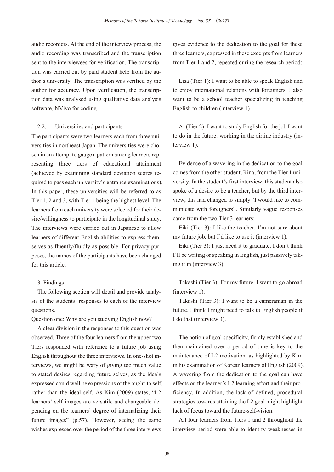audio recorders. At the end of the interview process, the audio recording was transcribed and the transcription sent to the interviewees for verification. The transcription was carried out by paid student help from the author's university. The transcription was verified by the author for accuracy. Upon verification, the transcription data was analysed using qualitative data analysis software, NVivo for coding.

#### 2.2. Universities and participants.

The participants were two learners each from three universities in northeast Japan. The universities were chosen in an attempt to gauge a pattern among learners representing three tiers of educational attainment (achieved by examining standard deviation scores required to pass each university's entrance examinations). In this paper, these universities will be referred to as Tier 1, 2 and 3, with Tier 1 being the highest level. The learners from each university were selected for their desire/willingness to participate in the longitudinal study. The interviews were carried out in Japanese to allow learners of different English abilities to express themselves as fluently/fluidly as possible. For privacy purposes, the names of the participants have been changed for this article.

#### 3. Findings

The following section will detail and provide analysis of the students' responses to each of the interview questions.

Question one: Why are you studying English now?

A clear division in the responses to this question was observed. Three of the four learners from the upper two Tiers responded with reference to a future job using English throughout the three interviews. In one-shot interviews, we might be wary of giving too much value to stated desires regarding future selves, as the ideals expressed could well be expressions of the ought-to self, rather than the ideal self. As Kim (2009) states, "L2 learners' self images are versatile and changeable depending on the learners' degree of internalizing their future images" (p.57). However, seeing the same wishes expressed over the period of the three interviews

gives evidence to the dedication to the goal for these three learners, expressed in these excerpts from learners from Tier 1 and 2, repeated during the research period:

Lisa (Tier 1): I want to be able to speak English and to enjoy international relations with foreigners. I also want to be a school teacher specializing in teaching English to children (interview 1).

Ai (Tier 2): I want to study English for the job I want to do in the future: working in the airline industry (interview 1).

Evidence of a wavering in the dedication to the goal comes from the other student, Rina, from the Tier 1 university. In the student's first interview, this student also spoke of a desire to be a teacher, but by the third interview, this had changed to simply "I would like to communicate with foreigners". Similarly vague responses came from the two Tier 3 learners:

Eiki (Tier 3): I like the teacher. I'm not sure about my future job, but I'd like to use it (interview 1).

Eiki (Tier 3): I just need it to graduate. I don't think I'll be writing or speaking in English, just passively taking it in (interview 3).

Takashi (Tier 3): For my future. I want to go abroad (interview 1).

Takashi (Tier 3): I want to be a cameraman in the future. I think I might need to talk to English people if I do that (interview 3).

The notion of goal specificity, firmly established and then maintained over a period of time is key to the maintenance of L2 motivation, as highlighted by Kim in his examination of Korean learners of English (2009). A wavering from the dedication to the goal can have effects on the learner's L2 learning effort and their proficiency. In addition, the lack of defined, procedural strategies towards attaining the L2 goal might highlight lack of focus toward the future-self-vision.

All four learners from Tiers 1 and 2 throughout the interview period were able to identify weaknesses in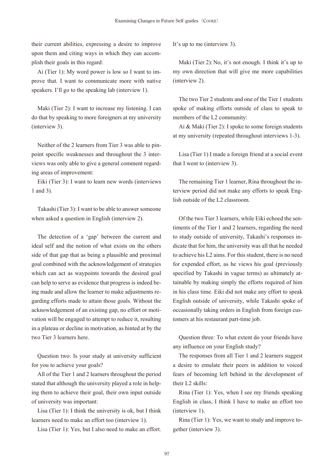their current abilities, expressing a desire to improve upon them and citing ways in which they can accomplish their goals in this regard:

Ai (Tier 1): My word power is low so I want to improve that. I want to communicate more with native speakers. I'll go to the speaking lab (interview 1).

Maki (Tier 2): I want to increase my listening. I can do that by speaking to more foreigners at my university (interview 3).

Neither of the 2 learners from Tier 3 was able to pinpoint specific weaknesses and throughout the 3 interviews was only able to give a general comment regarding areas of improvement:

Eiki (Tier 3): I want to learn new words (interviews 1 and 3).

Takashi (Tier 3): I want to be able to answer someone when asked a question in English (interview 2).

The detection of a 'gap' between the current and ideal self and the notion of what exists on the others side of that gap that as being a plausible and proximal goal combined with the acknowledgement of strategies which can act as waypoints towards the desired goal can help to serve as evidence that progress is indeed being made and allow the learner to make adjustments regarding efforts made to attain those goals. Without the acknowledgement of an existing gap, no effort or motivation will be engaged to attempt to reduce it, resulting in a plateau or decline in motivation, as hinted at by the two Tier 3 learners here.

Question two: Is your study at university sufficient for you to achieve your goals?

All of the Tier 1 and 2 learners throughout the period stated that although the university played a role in helping them to achieve their goal, their own input outside of university was important:

Lisa (Tier 1): I think the university is ok, but I think learners need to make an effort too (interview 1).

Lisa (Tier 1): Yes, but I also need to make an effort.

It's up to me (interview 3).

Maki (Tier 2): No, it's not enough. I think it's up to my own direction that will give me more capabilities (interview 2).

The two Tier 2 students and one of the Tier 1 students spoke of making efforts outside of class to speak to members of the L2 community:

Ai & Maki (Tier 2): I spoke to some foreign students at my university (repeated throughout interviews 1-3).

Lisa (Tier 1) I made a foreign friend at a social event that I went to (interview 3).

The remaining Tier 1 learner, Rina throughout the interview period did not make any efforts to speak English outside of the L2 classroom.

Of the two Tier 3 learners, while Eiki echoed the sentiments of the Tier 1 and 2 learners, regarding the need to study outside of university, Takashi's responses indicate that for him, the university was all that he needed to achieve his L2 aims. For this student, there is no need for expended effort, as he views his goal (previously specified by Takashi in vague terms) as ultimately attainable by making simply the efforts required of him in his class time. Eiki did not make any effort to speak English outside of university, while Takashi spoke of occasionally taking orders in English from foreign customers at his restaurant part-time job.

Question three: To what extent do your friends have any influence on your English study?

The responses from all Tier 1 and 2 learners suggest a desire to emulate their peers in addition to voiced fears of becoming left behind in the development of their L2 skills:

Rina (Tier 1): Yes, when I see my friends speaking English in class, I think I have to make an effort too (interview 1).

Rina (Tier 1): Yes, we want to study and improve together (interview 3).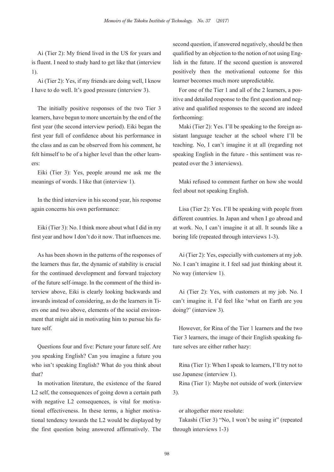Ai (Tier 2): My friend lived in the US for years and is fluent. I need to study hard to get like that (interview 1).

Ai (Tier 2): Yes, if my friends are doing well, I know I have to do well. It's good pressure (interview 3).

The initially positive responses of the two Tier 3 learners, have begun to more uncertain by the end of the first year (the second interview period). Eiki began the first year full of confidence about his performance in the class and as can be observed from his comment, he felt himself to be of a higher level than the other learners:

Eiki (Tier 3): Yes, people around me ask me the meanings of words. I like that (interview 1).

In the third interview in his second year, his response again concerns his own performance:

Eiki (Tier 3): No. I think more about what I did in my first year and how I don't do it now. That influences me.

As has been shown in the patterns of the responses of the learners thus far, the dynamic of stability is crucial for the continued development and forward trajectory of the future self-image. In the comment of the third interview above, Eiki is clearly looking backwards and inwards instead of considering, as do the learners in Tiers one and two above, elements of the social environment that might aid in motivating him to pursue his future self.

Questions four and five: Picture your future self. Are you speaking English? Can you imagine a future you who isn't speaking English? What do you think about that?

In motivation literature, the existence of the feared L2 self, the consequences of going down a certain path with negative L2 consequences, is vital for motivational effectiveness. In these terms, a higher motivational tendency towards the L2 would be displayed by the first question being answered affirmatively. The second question, if answered negatively, should be then qualified by an objection to the notion of not using English in the future. If the second question is answered positively then the motivational outcome for this learner becomes much more unpredictable.

For one of the Tier 1 and all of the 2 learners, a positive and detailed response to the first question and negative and qualified responses to the second are indeed forthcoming:

Maki (Tier 2): Yes. I'll be speaking to the foreign assistant language teacher at the school where I'll be teaching. No, I can't imagine it at all (regarding not speaking English in the future - this sentiment was repeated over the 3 interviews).

Maki refused to comment further on how she would feel about not speaking English.

Lisa (Tier 2): Yes. I'll be speaking with people from different countries. In Japan and when I go abroad and at work. No, I can't imagine it at all. It sounds like a boring life (repeated through interviews 1-3).

Ai (Tier 2): Yes, especially with customers at my job. No. I can't imagine it. I feel sad just thinking about it. No way (interview 1).

Ai (Tier 2): Yes, with customers at my job. No. I can't imagine it. I'd feel like 'what on Earth are you doing?' (interview 3).

However, for Rina of the Tier 1 learners and the two Tier 3 learners, the image of their English speaking future selves are either rather hazy:

Rina (Tier 1): When I speak to learners, I'll try not to use Japanese (interview 1).

Rina (Tier 1): Maybe not outside of work (interview 3).

or altogether more resolute:

Takashi (Tier 3) "No, I won't be using it" (repeated through interviews 1-3)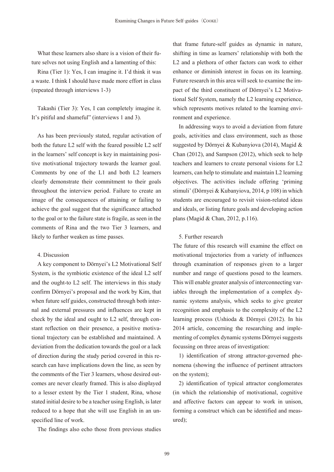What these learners also share is a vision of their future selves not using English and a lamenting of this:

Rina (Tier 1): Yes, I can imagine it. I'd think it was a waste. I think I should have made more effort in class (repeated through interviews 1-3)

Takashi (Tier 3): Yes, I can completely imagine it. It's pitiful and shameful" (interviews 1 and 3).

As has been previously stated, regular activation of both the future L2 self with the feared possible L2 self in the learners' self concept is key in maintaining positive motivational trajectory towards the learner goal. Comments by one of the L1 and both L2 learners clearly demonstrate their commitment to their goals throughout the interview period. Failure to create an image of the consequences of attaining or failing to achieve the goal suggest that the significance attached to the goal or to the failure state is fragile, as seen in the comments of Rina and the two Tier 3 learners, and likely to further weaken as time passes.

### 4. Discussion

A key component to Dörnyei's L2 Motivational Self System, is the symbiotic existence of the ideal L2 self and the ought-to L2 self. The interviews in this study confirm Dörnyei's proposal and the work by Kim, that when future self guides, constructed through both internal and external pressures and influences are kept in check by the ideal and ought to L2 self, through constant reflection on their presence, a positive motivational trajectory can be established and maintained. A deviation from the dedication towards the goal or a lack of direction during the study period covered in this research can have implications down the line, as seen by the comments of the Tier 3 learners, whose desired outcomes are never clearly framed. This is also displayed to a lesser extent by the Tier 1 student, Rina, whose stated initial desire to be a teacher using English, is later reduced to a hope that she will use English in an unspecified line of work.

The findings also echo those from previous studies

that frame future-self guides as dynamic in nature, shifting in time as learners' relationship with both the L2 and a plethora of other factors can work to either enhance or diminish interest in focus on its learning. Future research in this area will seek to examine the impact of the third constituent of Dörnyei's L2 Motivational Self System, namely the L2 learning experience, which represents motives related to the learning environment and experience.

In addressing ways to avoid a deviation from future goals, activities and class environment, such as those suggested by Dörnyei & Kubanyiova (2014), Magid & Chan (2012), and Sampson (2012), which seek to help teachers and learners to create personal visions for L2 learners, can help to stimulate and maintain L2 learning objectives. The activities include offering 'priming stimuli' (Dörnyei & Kubanyiova, 2014, p 108) in which students are encouraged to revisit vision-related ideas and ideals, or listing future goals and developing action plans (Magid & Chan, 2012, p.116).

#### 5. Further research

The future of this research will examine the effect on motivational trajectories from a variety of influences through examination of responses given to a larger number and range of questions posed to the learners. This will enable greater analysis of interconnecting variables through the implementation of a complex dynamic systems analysis, which seeks to give greater recognition and emphasis to the complexity of the L2 learning process (Ushioda & Dörnyei (2012). In his 2014 article, concerning the researching and implementing of complex dynamic systems Dörnyei suggests focussing on three areas of investigation:

1) identification of strong attractor-governed phenomena (showing the influence of pertinent attractors on the system);

2) identification of typical attractor conglomerates (in which the relationship of motivational, cognitive and affective factors can appear to work in unison, forming a construct which can be identified and measured);